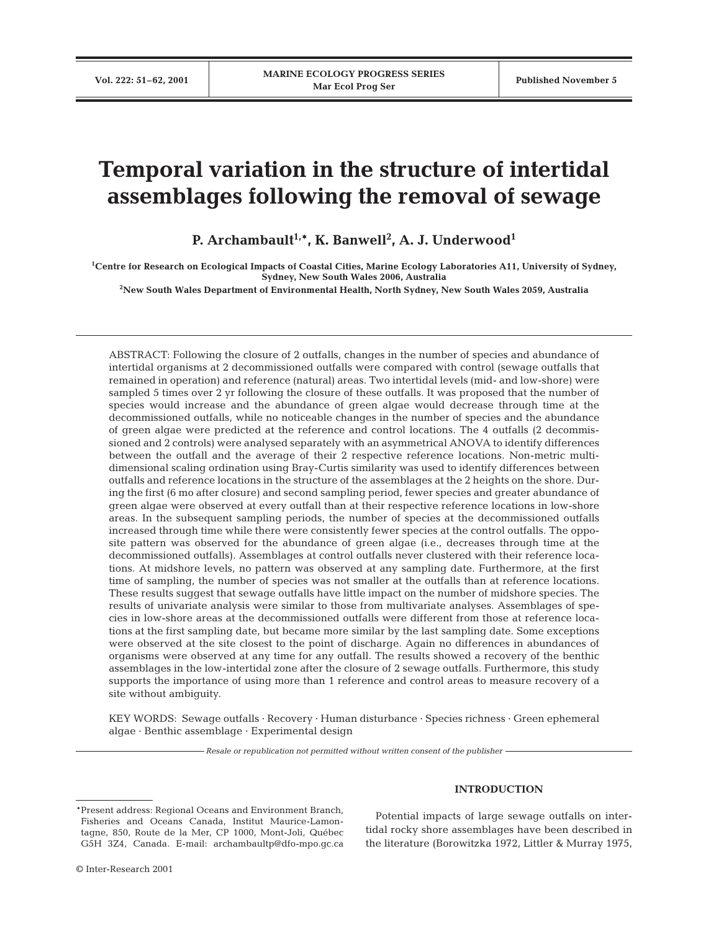# **Temporal variation in the structure of intertidal assemblages following the removal of sewage**

**P. Archambault1,\*, K. Banwell2 , A. J. Underwood1**

**1 Centre for Research on Ecological Impacts of Coastal Cities, Marine Ecology Laboratories A11, University of Sydney, Sydney, New South Wales 2006, Australia**

**2 New South Wales Department of Environmental Health, North Sydney, New South Wales 2059, Australia**

ABSTRACT: Following the closure of 2 outfalls, changes in the number of species and abundance of intertidal organisms at 2 decommissioned outfalls were compared with control (sewage outfalls that remained in operation) and reference (natural) areas. Two intertidal levels (mid- and low-shore) were sampled 5 times over 2 yr following the closure of these outfalls. It was proposed that the number of species would increase and the abundance of green algae would decrease through time at the decommissioned outfalls, while no noticeable changes in the number of species and the abundance of green algae were predicted at the reference and control locations. The 4 outfalls (2 decommissioned and 2 controls) were analysed separately with an asymmetrical ANOVA to identify differences between the outfall and the average of their 2 respective reference locations. Non-metric multidimensional scaling ordination using Bray-Curtis similarity was used to identify differences between outfalls and reference locations in the structure of the assemblages at the 2 heights on the shore. During the first (6 mo after closure) and second sampling period, fewer species and greater abundance of green algae were observed at every outfall than at their respective reference locations in low-shore areas. In the subsequent sampling periods, the number of species at the decommissioned outfalls increased through time while there were consistently fewer species at the control outfalls. The opposite pattern was observed for the abundance of green algae (i.e., decreases through time at the decommissioned outfalls). Assemblages at control outfalls never clustered with their reference locations. At midshore levels, no pattern was observed at any sampling date. Furthermore, at the first time of sampling, the number of species was not smaller at the outfalls than at reference locations. These results suggest that sewage outfalls have little impact on the number of midshore species. The results of univariate analysis were similar to those from multivariate analyses. Assemblages of species in low-shore areas at the decommissioned outfalls were different from those at reference locations at the first sampling date, but became more similar by the last sampling date. Some exceptions were observed at the site closest to the point of discharge. Again no differences in abundances of organisms were observed at any time for any outfall. The results showed a recovery of the benthic assemblages in the low-intertidal zone after the closure of 2 sewage outfalls. Furthermore, this study supports the importance of using more than 1 reference and control areas to measure recovery of a site without ambiguity.

KEY WORDS: Sewage outfalls · Recovery · Human disturbance · Species richness · Green ephemeral algae · Benthic assemblage · Experimental design

*Resale or republication not permitted without written consent of the publisher*

#### \*Present address: Regional Oceans and Environment Branch, Fisheries and Oceans Canada, Institut Maurice-Lamontagne, 850, Route de la Mer, CP 1000, Mont-Joli, Québec G5H 3Z4, Canada. E-mail: archambaultp@dfo-mpo.gc.ca

# **INTRODUCTION**

Potential impacts of large sewage outfalls on intertidal rocky shore assemblages have been described in the literature (Borowitzka 1972, Littler & Murray 1975,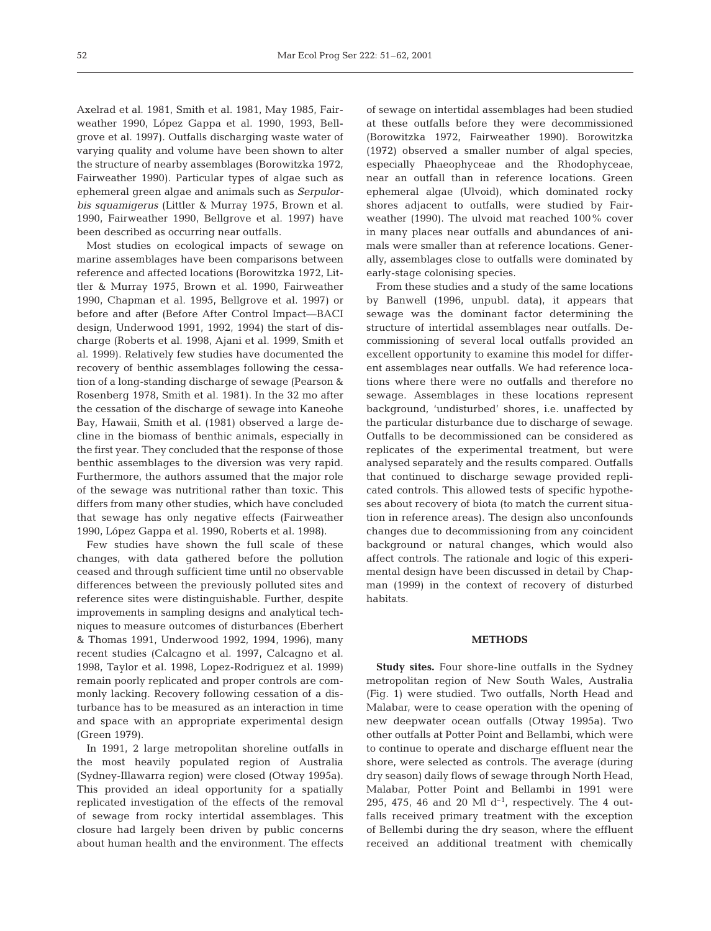Axelrad et al. 1981, Smith et al. 1981, May 1985, Fairweather 1990, López Gappa et al. 1990, 1993, Bellgrove et al. 1997). Outfalls discharging waste water of varying quality and volume have been shown to alter the structure of nearby assemblages (Borowitzka 1972, Fairweather 1990). Particular types of algae such as ephemeral green algae and animals such as *Serpulorbis squamigerus* (Littler & Murray 1975, Brown et al. 1990, Fairweather 1990, Bellgrove et al. 1997) have been described as occurring near outfalls.

Most studies on ecological impacts of sewage on marine assemblages have been comparisons between reference and affected locations (Borowitzka 1972, Littler & Murray 1975, Brown et al. 1990, Fairweather 1990, Chapman et al. 1995, Bellgrove et al. 1997) or before and after (Before After Control Impact—BACI design, Underwood 1991, 1992, 1994) the start of discharge (Roberts et al. 1998, Ajani et al. 1999, Smith et al. 1999). Relatively few studies have documented the recovery of benthic assemblages following the cessation of a long-standing discharge of sewage (Pearson & Rosenberg 1978, Smith et al. 1981). In the 32 mo after the cessation of the discharge of sewage into Kaneohe Bay, Hawaii, Smith et al. (1981) observed a large decline in the biomass of benthic animals, especially in the first year. They concluded that the response of those benthic assemblages to the diversion was very rapid. Furthermore, the authors assumed that the major role of the sewage was nutritional rather than toxic. This differs from many other studies, which have concluded that sewage has only negative effects (Fairweather 1990, López Gappa et al. 1990, Roberts et al. 1998).

Few studies have shown the full scale of these changes, with data gathered before the pollution ceased and through sufficient time until no observable differences between the previously polluted sites and reference sites were distinguishable. Further, despite improvements in sampling designs and analytical techniques to measure outcomes of disturbances (Eberhert & Thomas 1991, Underwood 1992, 1994, 1996), many recent studies (Calcagno et al. 1997, Calcagno et al. 1998, Taylor et al. 1998, Lopez-Rodriguez et al. 1999) remain poorly replicated and proper controls are commonly lacking. Recovery following cessation of a disturbance has to be measured as an interaction in time and space with an appropriate experimental design (Green 1979).

In 1991, 2 large metropolitan shoreline outfalls in the most heavily populated region of Australia (Sydney-Illawarra region) were closed (Otway 1995a). This provided an ideal opportunity for a spatially replicated investigation of the effects of the removal of sewage from rocky intertidal assemblages. This closure had largely been driven by public concerns about human health and the environment. The effects of sewage on intertidal assemblages had been studied at these outfalls before they were decommissioned (Borowitzka 1972, Fairweather 1990). Borowitzka (1972) observed a smaller number of algal species, especially Phaeophyceae and the Rhodophyceae, near an outfall than in reference locations. Green ephemeral algae (Ulvoid), which dominated rocky shores adjacent to outfalls, were studied by Fairweather (1990). The ulvoid mat reached 100% cover in many places near outfalls and abundances of animals were smaller than at reference locations. Generally, assemblages close to outfalls were dominated by early-stage colonising species.

From these studies and a study of the same locations by Banwell (1996, unpubl. data), it appears that sewage was the dominant factor determining the structure of intertidal assemblages near outfalls. Decommissioning of several local outfalls provided an excellent opportunity to examine this model for different assemblages near outfalls. We had reference locations where there were no outfalls and therefore no sewage. Assemblages in these locations represent background, 'undisturbed' shores, i.e. unaffected by the particular disturbance due to discharge of sewage. Outfalls to be decommissioned can be considered as replicates of the experimental treatment, but were analysed separately and the results compared. Outfalls that continued to discharge sewage provided replicated controls. This allowed tests of specific hypotheses about recovery of biota (to match the current situation in reference areas). The design also unconfounds changes due to decommissioning from any coincident background or natural changes, which would also affect controls. The rationale and logic of this experimental design have been discussed in detail by Chapman (1999) in the context of recovery of disturbed habitats.

# **METHODS**

**Study sites.** Four shore-line outfalls in the Sydney metropolitan region of New South Wales, Australia (Fig. 1) were studied. Two outfalls, North Head and Malabar, were to cease operation with the opening of new deepwater ocean outfalls (Otway 1995a). Two other outfalls at Potter Point and Bellambi, which were to continue to operate and discharge effluent near the shore, were selected as controls. The average (during dry season) daily flows of sewage through North Head, Malabar, Potter Point and Bellambi in 1991 were 295, 475, 46 and 20 Ml  $d^{-1}$ , respectively. The 4 outfalls received primary treatment with the exception of Bellembi during the dry season, where the effluent received an additional treatment with chemically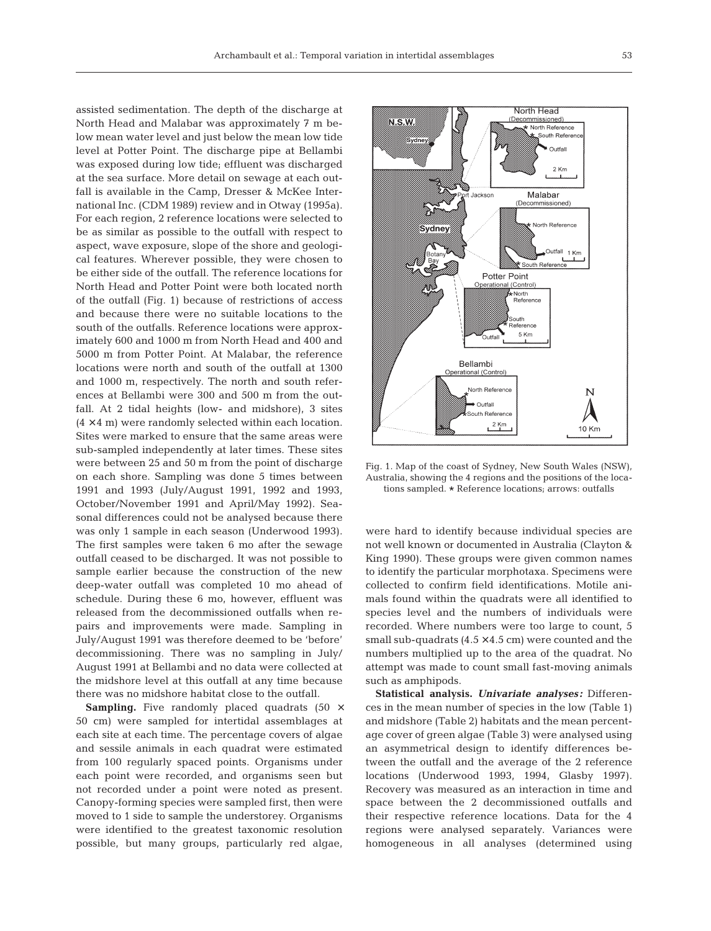assisted sedimentation. The depth of the discharge at North Head and Malabar was approximately 7 m below mean water level and just below the mean low tide level at Potter Point. The discharge pipe at Bellambi was exposed during low tide; effluent was discharged at the sea surface. More detail on sewage at each outfall is available in the Camp, Dresser & McKee International Inc. (CDM 1989) review and in Otway (1995a). For each region, 2 reference locations were selected to be as similar as possible to the outfall with respect to aspect, wave exposure, slope of the shore and geological features. Wherever possible, they were chosen to be either side of the outfall. The reference locations for North Head and Potter Point were both located north of the outfall (Fig. 1) because of restrictions of access and because there were no suitable locations to the south of the outfalls. Reference locations were approximately 600 and 1000 m from North Head and 400 and 5000 m from Potter Point. At Malabar, the reference locations were north and south of the outfall at 1300 and 1000 m, respectively. The north and south references at Bellambi were 300 and 500 m from the outfall. At 2 tidal heights (low- and midshore), 3 sites  $(4 \times 4 \text{ m})$  were randomly selected within each location. Sites were marked to ensure that the same areas were sub-sampled independently at later times. These sites were between 25 and 50 m from the point of discharge on each shore. Sampling was done 5 times between 1991 and 1993 (July/August 1991, 1992 and 1993, October/November 1991 and April/May 1992). Seasonal differences could not be analysed because there was only 1 sample in each season (Underwood 1993). The first samples were taken 6 mo after the sewage outfall ceased to be discharged. It was not possible to sample earlier because the construction of the new deep-water outfall was completed 10 mo ahead of schedule. During these 6 mo, however, effluent was released from the decommissioned outfalls when repairs and improvements were made. Sampling in July/August 1991 was therefore deemed to be 'before' decommissioning. There was no sampling in July/ August 1991 at Bellambi and no data were collected at the midshore level at this outfall at any time because there was no midshore habitat close to the outfall.

**Sampling.** Five randomly placed quadrats (50  $\times$ 50 cm) were sampled for intertidal assemblages at each site at each time. The percentage covers of algae and sessile animals in each quadrat were estimated from 100 regularly spaced points. Organisms under each point were recorded, and organisms seen but not recorded under a point were noted as present. Canopy-forming species were sampled first, then were moved to 1 side to sample the understorey. Organisms were identified to the greatest taxonomic resolution possible, but many groups, particularly red algae,



Fig. 1. Map of the coast of Sydney, New South Wales (NSW), Australia, showing the 4 regions and the positions of the locations sampled. \* Reference locations; arrows: outfalls

were hard to identify because individual species are not well known or documented in Australia (Clayton & King 1990). These groups were given common names to identify the particular morphotaxa. Specimens were collected to confirm field identifications. Motile animals found within the quadrats were all identified to species level and the numbers of individuals were recorded. Where numbers were too large to count, 5 small sub-quadrats  $(4.5 \times 4.5 \text{ cm})$  were counted and the numbers multiplied up to the area of the quadrat. No attempt was made to count small fast-moving animals such as amphipods.

**Statistical analysis.** *Univariate analyses:* Differences in the mean number of species in the low (Table 1) and midshore (Table 2) habitats and the mean percentage cover of green algae (Table 3) were analysed using an asymmetrical design to identify differences between the outfall and the average of the 2 reference locations (Underwood 1993, 1994, Glasby 1997). Recovery was measured as an interaction in time and space between the 2 decommissioned outfalls and their respective reference locations. Data for the 4 regions were analysed separately. Variances were homogeneous in all analyses (determined using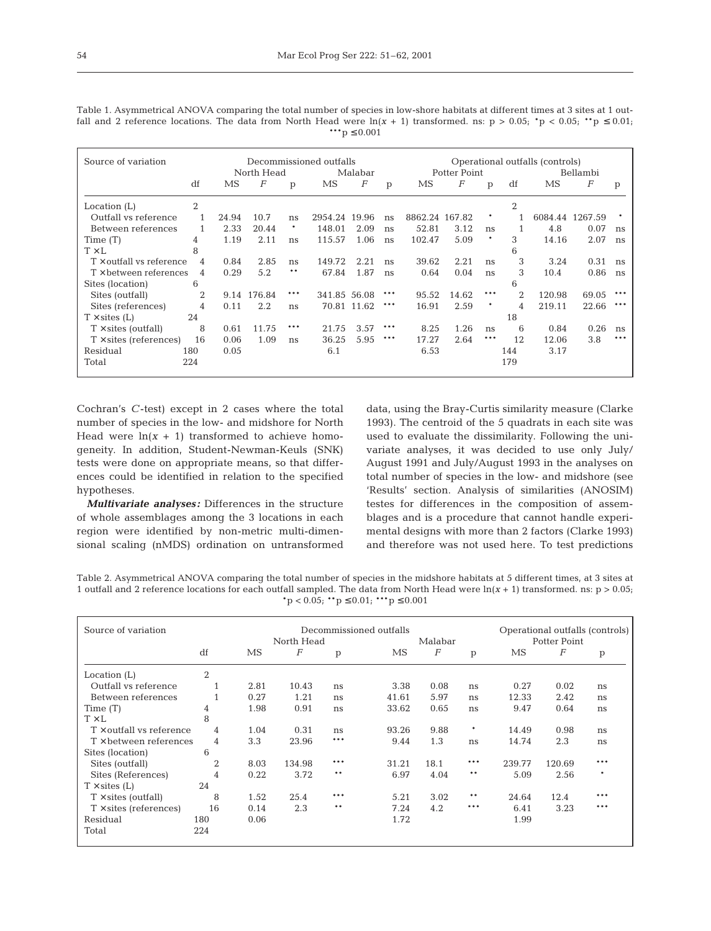Table 1. Asymmetrical ANOVA comparing the total number of species in low-shore habitats at different times at 3 sites at 1 outfall and 2 reference locations. The data from North Head were  $ln(x + 1)$  transformed. ns:  $p > 0.05$ ;  $p < 0.05$ ;  $p \le 0.01$ ; \*\*\*p  $\leq 0.001$ 

| Source of variation             |     | Decommissioned outfalls |             |     |              |             |     |                | Operational outfalls (controls) |        |                |        |                 |     |
|---------------------------------|-----|-------------------------|-------------|-----|--------------|-------------|-----|----------------|---------------------------------|--------|----------------|--------|-----------------|-----|
|                                 |     |                         | North Head  |     |              | Malabar     |     |                | Potter Point                    |        |                |        | Bellambi        |     |
|                                 | df  | MS                      | F           | p   | MS           | F           | p   | MS             | $\boldsymbol{F}$                | p      | df             | MS     | F               | p   |
| Location $(L)$                  | 2   |                         |             |     |              |             |     |                |                                 |        | $\overline{2}$ |        |                 |     |
| Outfall vs reference            |     | 24.94                   | 10.7        | ns  | 2954.24      | 19.96       | ns  | 8862.24 167.82 |                                 |        |                |        | 6084.44 1267.59 |     |
| Between references              |     | 2.33                    | 20.44       |     | 148.01       | 2.09        | ns  | 52.81          | 3.12                            | ns     |                | 4.8    | 0.07            | ns  |
| Time $(T)$                      | 4   | 1.19                    | 2.11        | ns  | 115.57       | 1.06        | ns  | 102.47         | 5.09                            | $\ast$ | 3              | 14.16  | 2.07            | ns  |
| $T \times L$                    | 8   |                         |             |     |              |             |     |                |                                 |        | 6              |        |                 |     |
| $T \times$ outfall vs reference | 4   | 0.84                    | 2.85        | ns  | 149.72       | 2.21        | ns  | 39.62          | 2.21                            | ns     | 3              | 3.24   | 0.31            | ns  |
| $T \times$ between references   | 4   | 0.29                    | 5.2         | **  | 67.84        | 1.87        | ns  | 0.64           | 0.04                            | ns     | 3              | 10.4   | 0.86            | ns  |
| Sites (location)                | 6   |                         |             |     |              |             |     |                |                                 |        | 6              |        |                 |     |
| Sites (outfall)                 | 2   |                         | 9.14 176.84 | *** | 341.85 56.08 |             | *** | 95.52          | 14.62                           | ***    | 2              | 120.98 | 69.05           |     |
| Sites (references)              | 4   | 0.11                    | 2.2         | ns  |              | 70.81 11.62 | *** | 16.91          | 2.59                            | $\ast$ | 4              | 219.11 | 22.66           | *** |
| $T \times$ sites (L)            | 24  |                         |             |     |              |             |     |                |                                 |        | 18             |        |                 |     |
| $T \times$ sites (outfall)      | 8   | 0.61                    | 11.75       | *** | 21.75        | 3.57        | *** | 8.25           | 1.26                            | ns     | 6              | 0.84   | 0.26            | ns  |
| $T \times$ sites (references)   | 16  | 0.06                    | 1.09        | ns  | 36.25        | 5.95        | *** | 17.27          | 2.64                            | ***    | 12             | 12.06  | 3.8             | *** |
| Residual                        | 180 | 0.05                    |             |     | 6.1          |             |     | 6.53           |                                 |        | 144            | 3.17   |                 |     |
| Total                           | 224 |                         |             |     |              |             |     |                |                                 |        | 179            |        |                 |     |

Cochran's *C*-test) except in 2 cases where the total number of species in the low- and midshore for North Head were  $ln(x + 1)$  transformed to achieve homogeneity. In addition, Student-Newman-Keuls (SNK) tests were done on appropriate means, so that differences could be identified in relation to the specified hypotheses.

*Multivariate analyses:* Differences in the structure of whole assemblages among the 3 locations in each region were identified by non-metric multi-dimensional scaling (nMDS) ordination on untransformed data, using the Bray-Curtis similarity measure (Clarke 1993). The centroid of the 5 quadrats in each site was used to evaluate the dissimilarity. Following the univariate analyses, it was decided to use only July/ August 1991 and July/August 1993 in the analyses on total number of species in the low- and midshore (see 'Results' section. Analysis of similarities (ANOSIM) testes for differences in the composition of assemblages and is a procedure that cannot handle experimental designs with more than 2 factors (Clarke 1993) and therefore was not used here. To test predictions

Table 2. Asymmetrical ANOVA comparing the total number of species in the midshore habitats at 5 different times, at 3 sites at 1 outfall and 2 reference locations for each outfall sampled. The data from North Head were ln(*x* + 1) transformed. ns: p > 0.05;  $*p < 0.05$ ;  $* p \le 0.01$ ;  $* * p \le 0.001$ 

| Source of variation             |                |      | Decommissioned outfalls | Operational outfalls (controls) |         |          |                     |        |                  |        |
|---------------------------------|----------------|------|-------------------------|---------------------------------|---------|----------|---------------------|--------|------------------|--------|
|                                 |                |      | North Head              |                                 | Malabar |          | <b>Potter Point</b> |        |                  |        |
|                                 | df             | MS   | $\overline{F}$          | p                               | MS      | $\cal F$ | p                   | MS     | $\boldsymbol{F}$ | p      |
| Location (L)                    | $\overline{2}$ |      |                         |                                 |         |          |                     |        |                  |        |
| Outfall vs reference            |                | 2.81 | 10.43                   | ns                              | 3.38    | 0.08     | ns                  | 0.27   | 0.02             | ns     |
| Between references              | $\mathbf{1}$   | 0.27 | 1.21                    | ns                              | 41.61   | 5.97     | ns                  | 12.33  | 2.42             | ns     |
| Time (T)                        | 4              | 1.98 | 0.91                    | ns                              | 33.62   | 0.65     | ns                  | 9.47   | 0.64             | ns     |
| $T \times L$                    | 8              |      |                         |                                 |         |          |                     |        |                  |        |
| $T \times$ outfall vs reference | 4              | 1.04 | 0.31                    | ns                              | 93.26   | 9.88     | $\ast$              | 14.49  | 0.98             | ns     |
| $T \times$ between references   | $\overline{4}$ | 3.3  | 23.96                   | ***                             | 9.44    | 1.3      | ns                  | 14.74  | 2.3              | ns     |
| Sites (location)                | 6              |      |                         |                                 |         |          |                     |        |                  |        |
| Sites (outfall)                 | 2              | 8.03 | 134.98                  | ***                             | 31.21   | 18.1     | $***$               | 239.77 | 120.69           | ***    |
| Sites (References)              | 4              | 0.22 | 3.72                    | $* *$                           | 6.97    | 4.04     | $* *$               | 5.09   | 2.56             | $\ast$ |
| $T \times$ sites (L)            | 24             |      |                         |                                 |         |          |                     |        |                  |        |
| $T \times$ sites (outfall)      | 8              | 1.52 | 25.4                    | ***                             | 5.21    | 3.02     | $* *$               | 24.64  | 12.4             | ***    |
| $T \times$ sites (references)   | 16             | 0.14 | 2.3                     | $* *$                           | 7.24    | 4.2      | ***                 | 6.41   | 3.23             | ***    |
| Residual                        | 180            | 0.06 |                         |                                 | 1.72    |          |                     | 1.99   |                  |        |
| Total                           | 224            |      |                         |                                 |         |          |                     |        |                  |        |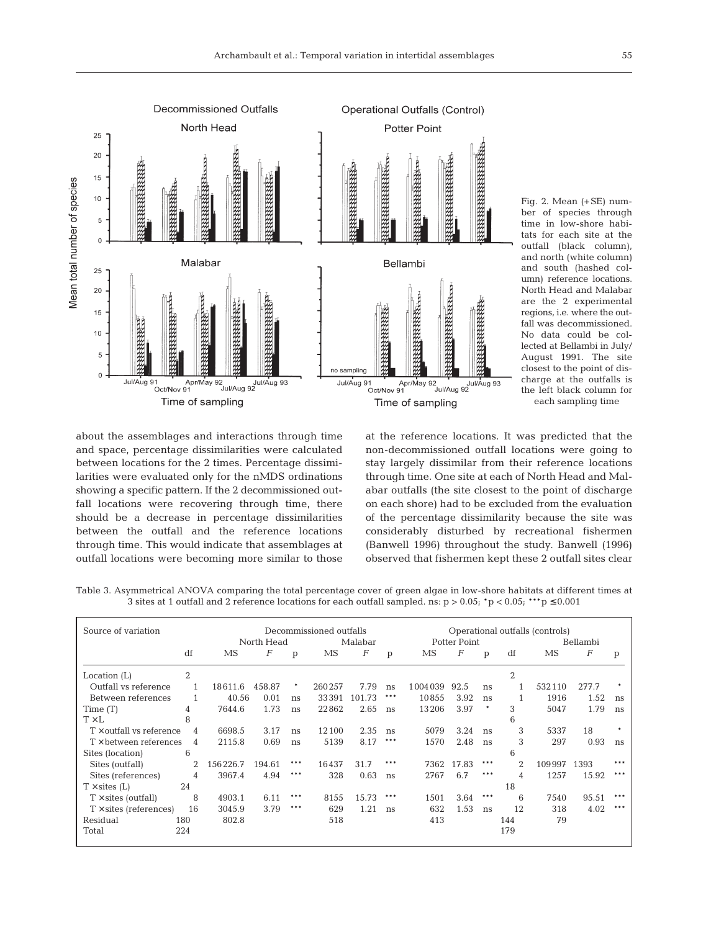

Fig. 2. Mean (+SE) number of species through time in low-shore habitats for each site at the outfall (black column), and north (white column) and south (hashed column) reference locations. North Head and Malabar are the 2 experimental regions, i.e. where the outfall was decommissioned. No data could be collected at Bellambi in July/ August 1991. The site closest to the point of discharge at the outfalls is the left black column for each sampling time

about the assemblages and interactions through time and space, percentage dissimilarities were calculated between locations for the 2 times. Percentage dissimilarities were evaluated only for the nMDS ordinations showing a specific pattern. If the 2 decommissioned outfall locations were recovering through time, there should be a decrease in percentage dissimilarities between the outfall and the reference locations through time. This would indicate that assemblages at outfall locations were becoming more similar to those at the reference locations. It was predicted that the non-decommissioned outfall locations were going to stay largely dissimilar from their reference locations through time. One site at each of North Head and Malabar outfalls (the site closest to the point of discharge on each shore) had to be excluded from the evaluation of the percentage dissimilarity because the site was considerably disturbed by recreational fishermen (Banwell 1996) throughout the study. Banwell (1996) observed that fishermen kept these 2 outfall sites clear

Table 3. Asymmetrical ANOVA comparing the total percentage cover of green algae in low-shore habitats at different times at 3 sites at 1 outfall and 2 reference locations for each outfall sampled. ns:  $p > 0.05$ ;  $\rightarrow p < 0.05$ ;  $\rightarrow p \le 0.001$ 

| Source of variation             |     | Decommissioned outfalls |                  |        |         |                  |              | Operational outfalls (controls) |                  |     |          |           |                  |     |
|---------------------------------|-----|-------------------------|------------------|--------|---------|------------------|--------------|---------------------------------|------------------|-----|----------|-----------|------------------|-----|
|                                 |     |                         | North Head       |        | Malabar |                  | Potter Point |                                 |                  |     | Bellambi |           |                  |     |
|                                 | df  | MS                      | $\boldsymbol{F}$ | p      | MS      | $\boldsymbol{F}$ | p            | MS                              | $\boldsymbol{F}$ | p   | df       | <b>MS</b> | $\boldsymbol{F}$ | p   |
| Location $(L)$                  | 2   |                         |                  |        |         |                  |              |                                 |                  |     | 2        |           |                  |     |
| Outfall vs reference            |     | 18611.6                 | 458.87           | $\ast$ | 260257  | 7.79             | ns           | 1004039                         | 92.5             | ns  |          | 532110    | 277.7            | ۰   |
| Between references              |     | 40.56                   | 0.01             | ns     | 33391   | 101.73           | ***          | 10855                           | 3.92             | ns  |          | 1916      | 1.52             | ns  |
| Time(T)                         | 4   | 7644.6                  | 1.73             | ns     | 22862   | 2.65             | ns           | 13206                           | 3.97             | ۰   | 3        | 5047      | 1.79             | ns  |
| $T \times L$                    | 8   |                         |                  |        |         |                  |              |                                 |                  |     | 6        |           |                  |     |
| $T \times$ outfall vs reference | 4   | 6698.5                  | 3.17             | ns     | 12100   | 2.35             | ns           | 5079                            | 3.24             | ns  | 3        | 5337      | 18               | ٠   |
| $T \times$ between references   | 4   | 2115.8                  | 0.69             | ns     | 5139    | 8.17             | ***          | 1570                            | 2.48             | ns  | 3        | 297       | 0.93             | ns  |
| Sites (location)                | 6   |                         |                  |        |         |                  |              |                                 |                  |     | 6        |           |                  |     |
| Sites (outfall)                 | 2   | 156226.7                | 194.61           | ***    | 16437   | 31.7             | ***          | 7362                            | 17.83            | *** | 2        | 109997    | 1393             | *** |
| Sites (references)              | 4   | 3967.4                  | 4.94             | ***    | 328     | 0.63             | ns           | 2767                            | 6.7              | *** | 4        | 1257      | 15.92            | *** |
| $T \times$ sites (L)            | 24  |                         |                  |        |         |                  |              |                                 |                  |     | 18       |           |                  |     |
| $T \times$ sites (outfall)      | 8   | 4903.1                  | 6.11             | ***    | 8155    | 15.73            | ***          | 1501                            | 3.64             | *** | 6        | 7540      | 95.51            | *** |
| $T \times$ sites (references)   | 16  | 3045.9                  | 3.79             | ***    | 629     | 1.21             | ns           | 632                             | 1.53             | ns  | 12       | 318       | 4.02             | *** |
| Residual                        | 180 | 802.8                   |                  |        | 518     |                  |              | 413                             |                  |     | 144      | 79        |                  |     |
| Total                           | 224 |                         |                  |        |         |                  |              |                                 |                  |     | 179      |           |                  |     |
|                                 |     |                         |                  |        |         |                  |              |                                 |                  |     |          |           |                  |     |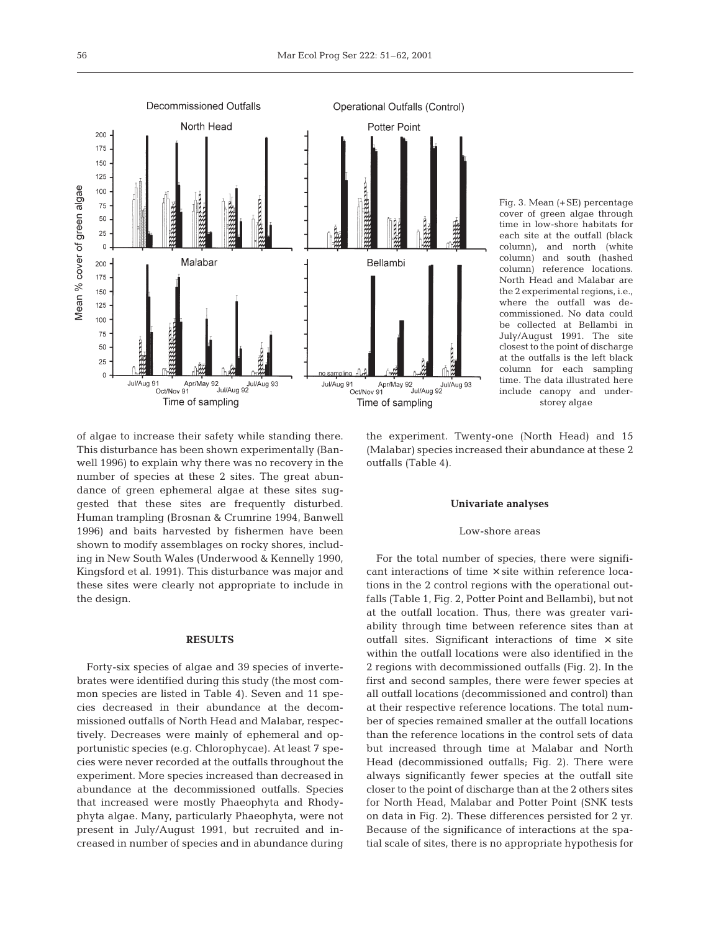

Fig. 3. Mean (+SE) percentage cover of green algae through time in low-shore habitats for each site at the outfall (black column), and north (white column) and south (hashed column) reference locations. North Head and Malabar are the 2 experimental regions, i.e., where the outfall was decommissioned. No data could be collected at Bellambi in July/August 1991. The site closest to the point of discharge at the outfalls is the left black column for each sampling time. The data illustrated here include canopy and understorey algae

of algae to increase their safety while standing there. This disturbance has been shown experimentally (Banwell 1996) to explain why there was no recovery in the number of species at these 2 sites. The great abundance of green ephemeral algae at these sites suggested that these sites are frequently disturbed. Human trampling (Brosnan & Crumrine 1994, Banwell 1996) and baits harvested by fishermen have been shown to modify assemblages on rocky shores, including in New South Wales (Underwood & Kennelly 1990, Kingsford et al. 1991). This disturbance was major and these sites were clearly not appropriate to include in the design.

# **RESULTS**

Forty-six species of algae and 39 species of invertebrates were identified during this study (the most common species are listed in Table 4). Seven and 11 species decreased in their abundance at the decommissioned outfalls of North Head and Malabar, respectively. Decreases were mainly of ephemeral and opportunistic species (e.g. Chlorophycae). At least 7 species were never recorded at the outfalls throughout the experiment. More species increased than decreased in abundance at the decommissioned outfalls. Species that increased were mostly Phaeophyta and Rhodyphyta algae. Many, particularly Phaeophyta, were not present in July/August 1991, but recruited and increased in number of species and in abundance during

the experiment. Twenty-one (North Head) and 15 (Malabar) species increased their abundance at these 2 outfalls (Table 4).

#### **Univariate analyses**

# Low-shore areas

For the total number of species, there were significant interactions of time  $\times$  site within reference locations in the 2 control regions with the operational outfalls (Table 1, Fig. 2, Potter Point and Bellambi), but not at the outfall location. Thus, there was greater variability through time between reference sites than at outfall sites. Significant interactions of time  $\times$  site within the outfall locations were also identified in the 2 regions with decommissioned outfalls (Fig. 2). In the first and second samples, there were fewer species at all outfall locations (decommissioned and control) than at their respective reference locations. The total number of species remained smaller at the outfall locations than the reference locations in the control sets of data but increased through time at Malabar and North Head (decommissioned outfalls; Fig. 2). There were always significantly fewer species at the outfall site closer to the point of discharge than at the 2 others sites for North Head, Malabar and Potter Point (SNK tests on data in Fig. 2). These differences persisted for 2 yr. Because of the significance of interactions at the spatial scale of sites, there is no appropriate hypothesis for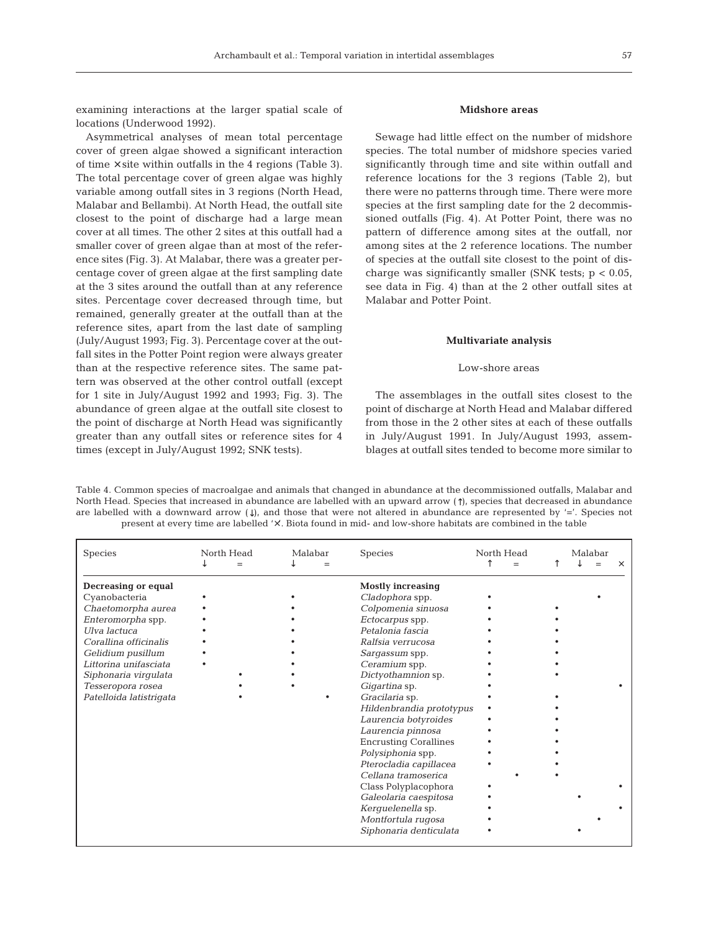examining interactions at the larger spatial scale of locations (Underwood 1992).

Asymmetrical analyses of mean total percentage cover of green algae showed a significant interaction of time  $\times$  site within outfalls in the 4 regions (Table 3). The total percentage cover of green algae was highly variable among outfall sites in 3 regions (North Head, Malabar and Bellambi). At North Head, the outfall site closest to the point of discharge had a large mean cover at all times. The other 2 sites at this outfall had a smaller cover of green algae than at most of the reference sites (Fig. 3). At Malabar, there was a greater percentage cover of green algae at the first sampling date at the 3 sites around the outfall than at any reference sites. Percentage cover decreased through time, but remained, generally greater at the outfall than at the reference sites, apart from the last date of sampling (July/August 1993; Fig. 3). Percentage cover at the outfall sites in the Potter Point region were always greater than at the respective reference sites. The same pattern was observed at the other control outfall (except for 1 site in July/August 1992 and 1993; Fig. 3). The abundance of green algae at the outfall site closest to the point of discharge at North Head was significantly greater than any outfall sites or reference sites for 4 times (except in July/August 1992; SNK tests).

# **Midshore areas**

Sewage had little effect on the number of midshore species. The total number of midshore species varied significantly through time and site within outfall and reference locations for the 3 regions (Table 2), but there were no patterns through time. There were more species at the first sampling date for the 2 decommissioned outfalls (Fig. 4). At Potter Point, there was no pattern of difference among sites at the outfall, nor among sites at the 2 reference locations. The number of species at the outfall site closest to the point of discharge was significantly smaller (SNK tests;  $p < 0.05$ , see data in Fig. 4) than at the 2 other outfall sites at Malabar and Potter Point.

#### **Multivariate analysis**

# Low-shore areas

The assemblages in the outfall sites closest to the point of discharge at North Head and Malabar differed from those in the 2 other sites at each of these outfalls in July/August 1991. In July/August 1993, assemblages at outfall sites tended to become more similar to

Table 4. Common species of macroalgae and animals that changed in abundance at the decommissioned outfalls, Malabar and North Head. Species that increased in abundance are labelled with an upward arrow (↑), species that decreased in abundance are labelled with a downward arrow  $($ ), and those that were not altered in abundance are represented by '='. Species not present at every time are labelled '×'. Biota found in mid- and low-shore habitats are combined in the table

| Species                                                                                                                                                                                                                                               | North Head<br>$=$ | Malabar | Species                                                                                                                                                                                                                                                                                                                                                                                                                                                                                                                        | North Head<br>$=$ | Malabar | $\times$ |
|-------------------------------------------------------------------------------------------------------------------------------------------------------------------------------------------------------------------------------------------------------|-------------------|---------|--------------------------------------------------------------------------------------------------------------------------------------------------------------------------------------------------------------------------------------------------------------------------------------------------------------------------------------------------------------------------------------------------------------------------------------------------------------------------------------------------------------------------------|-------------------|---------|----------|
| <b>Decreasing or equal</b><br>Cyanobacteria<br>Chaetomorpha aurea<br>Enteromorpha spp.<br>Ulva lactuca<br>Corallina officinalis<br>Gelidium pusillum<br>Littorina unifasciata<br>Siphonaria virgulata<br>Tesseropora rosea<br>Patelloida latistrigata |                   |         | <b>Mostly increasing</b><br>Cladophora spp.<br>Colpomenia sinuosa<br>Ectocarpus spp.<br>Petalonia fascia<br>Ralfsia verrucosa<br>Sargassum spp.<br>Ceramium spp.<br>Dictyothamnion sp.<br>Gigartina sp.<br>Gracilaria sp.<br>Hildenbrandia prototypus<br>Laurencia botyroides<br>Laurencia pinnosa<br><b>Encrusting Corallines</b><br>Polysiphonia spp.<br>Pterocladia capillacea<br>Cellana tramoserica<br>Class Polyplacophora<br>Galeolaria caespitosa<br>Kerquelenella sp.<br>Montfortula rugosa<br>Siphonaria denticulata |                   |         |          |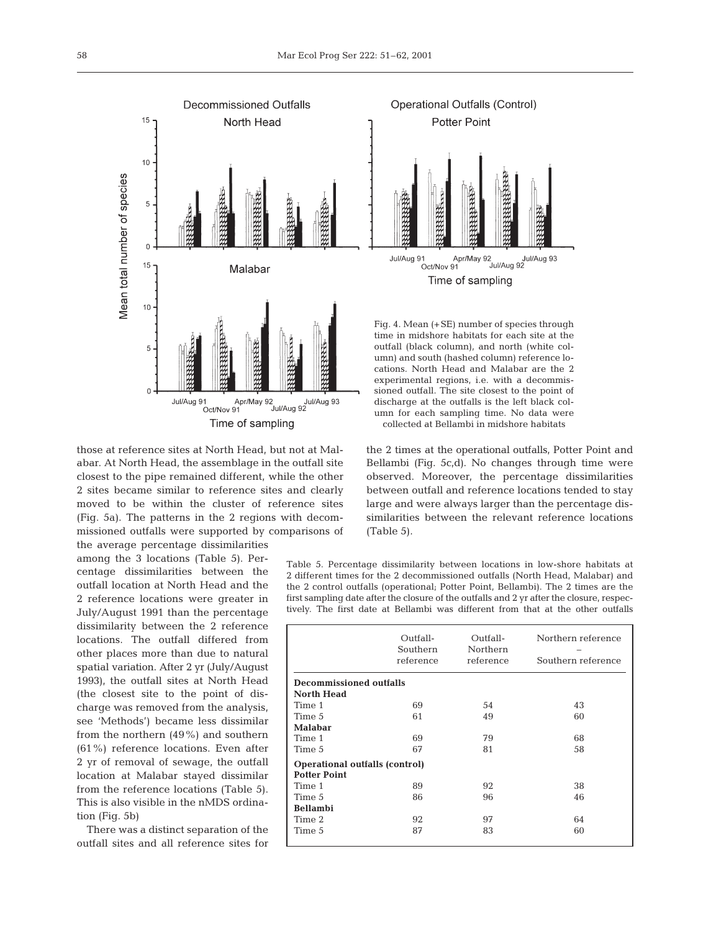

those at reference sites at North Head, but not at Malabar. At North Head, the assemblage in the outfall site closest to the pipe remained different, while the other 2 sites became similar to reference sites and clearly moved to be within the cluster of reference sites (Fig. 5a). The patterns in the 2 regions with decommissioned outfalls were supported by comparisons of the average percentage dissimilarities

among the 3 locations (Table 5). Percentage dissimilarities between the outfall location at North Head and the 2 reference locations were greater in July/August 1991 than the percentage dissimilarity between the 2 reference locations. The outfall differed from other places more than due to natural spatial variation. After 2 yr (July/August 1993), the outfall sites at North Head (the closest site to the point of discharge was removed from the analysis, see 'Methods') became less dissimilar from the northern (49%) and southern (61%) reference locations. Even after 2 yr of removal of sewage, the outfall location at Malabar stayed dissimilar from the reference locations (Table 5). This is also visible in the nMDS ordination (Fig. 5b)

There was a distinct separation of the outfall sites and all reference sites for



Fig. 4. Mean (+SE) number of species through time in midshore habitats for each site at the outfall (black column), and north (white column) and south (hashed column) reference locations. North Head and Malabar are the 2 experimental regions, i.e. with a decommissioned outfall. The site closest to the point of discharge at the outfalls is the left black column for each sampling time. No data were collected at Bellambi in midshore habitats

the 2 times at the operational outfalls, Potter Point and Bellambi (Fig. 5c,d). No changes through time were observed. Moreover, the percentage dissimilarities between outfall and reference locations tended to stay large and were always larger than the percentage dissimilarities between the relevant reference locations (Table 5).

Table 5. Percentage dissimilarity between locations in low-shore habitats at 2 different times for the 2 decommissioned outfalls (North Head, Malabar) and the 2 control outfalls (operational; Potter Point, Bellambi). The 2 times are the first sampling date after the closure of the outfalls and 2 yr after the closure, respectively. The first date at Bellambi was different from that at the other outfalls

|                                                              | Outfall-<br>Southern<br>reference | Outfall-<br>Northern<br>reference | Northern reference<br>Southern reference |
|--------------------------------------------------------------|-----------------------------------|-----------------------------------|------------------------------------------|
| <b>Decommissioned outfalls</b>                               |                                   |                                   |                                          |
| <b>North Head</b>                                            |                                   |                                   |                                          |
| Time 1                                                       | 69                                | 54                                | 43                                       |
| Time 5                                                       | 61                                | 49                                | 60                                       |
| <b>Malabar</b>                                               |                                   |                                   |                                          |
| Time 1                                                       | 69                                | 79                                | 68                                       |
| Time 5                                                       | 67                                | 81                                | 58                                       |
| <b>Operational outfalls (control)</b><br><b>Potter Point</b> |                                   |                                   |                                          |
| Time 1                                                       | 89                                | 92                                | 38                                       |
| Time 5                                                       | 86                                | 96                                | 46                                       |
| <b>Bellambi</b>                                              |                                   |                                   |                                          |
| Time 2                                                       | 92                                | 97                                | 64                                       |
| Time 5                                                       | 87                                | 83                                | 60                                       |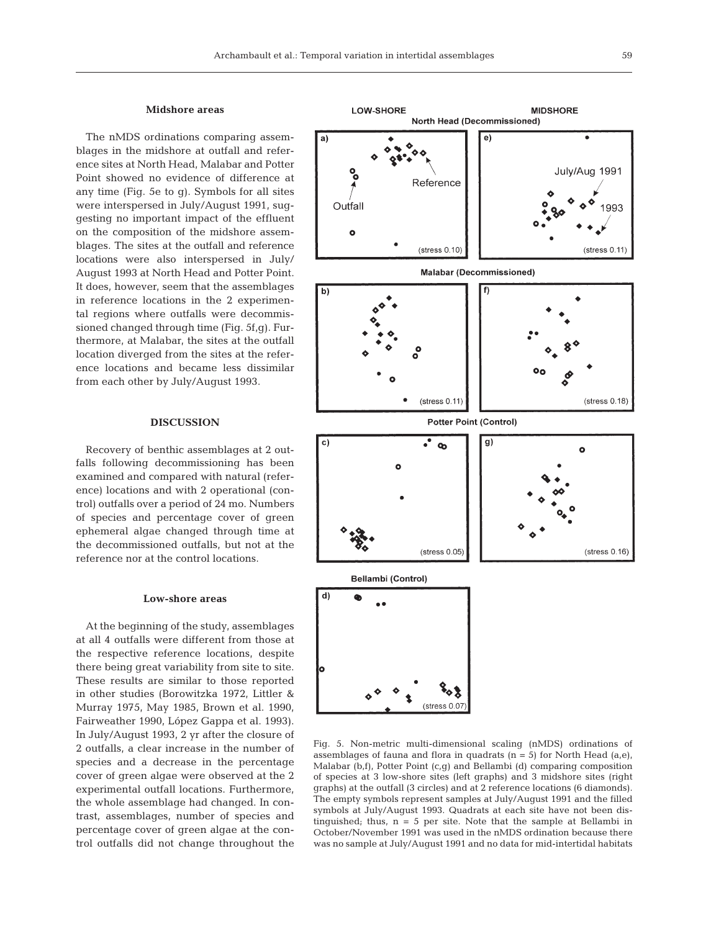#### **Midshore areas**

The nMDS ordinations comparing assemblages in the midshore at outfall and reference sites at North Head, Malabar and Potter Point showed no evidence of difference at any time (Fig. 5e to g). Symbols for all sites were interspersed in July/August 1991, suggesting no important impact of the effluent on the composition of the midshore assemblages. The sites at the outfall and reference locations were also interspersed in July/ August 1993 at North Head and Potter Point. It does, however, seem that the assemblages in reference locations in the 2 experimental regions where outfalls were decommissioned changed through time (Fig. 5f,g). Furthermore, at Malabar, the sites at the outfall location diverged from the sites at the reference locations and became less dissimilar from each other by July/August 1993.

# **DISCUSSION**

Recovery of benthic assemblages at 2 outfalls following decommissioning has been examined and compared with natural (reference) locations and with 2 operational (control) outfalls over a period of 24 mo. Numbers of species and percentage cover of green ephemeral algae changed through time at the decommissioned outfalls, but not at the reference nor at the control locations.

#### **Low-shore areas**

At the beginning of the study, assemblages at all 4 outfalls were different from those at the respective reference locations, despite there being great variability from site to site. These results are similar to those reported in other studies (Borowitzka 1972, Littler & Murray 1975, May 1985, Brown et al. 1990, Fairweather 1990, López Gappa et al. 1993). In July/August 1993, 2 yr after the closure of 2 outfalls, a clear increase in the number of species and a decrease in the percentage cover of green algae were observed at the 2 experimental outfall locations. Furthermore, the whole assemblage had changed. In contrast, assemblages, number of species and percentage cover of green algae at the control outfalls did not change throughout the

LOW-SHORE **MIDSHORE** North Head (Decommissioned)  $e)$ July/Aug 1991 Reference Outfall Ó  $\:$ stress  $0.10)$  $(s$ tress  $0.11$ **Malabar (Decommissioned)**  $\overline{h}$ f)  $\:$ stress 0.11)  $\:$ stress  $0.18)$ **Potter Point (Control)** c) ஂஂ g)  $\bullet$ (stress 0.05  $\:$ stress  $0.16)$ Bellambi (Control) d) ۰  $(stress 0.0)$ 

Fig. 5. Non-metric multi-dimensional scaling (nMDS) ordinations of assemblages of fauna and flora in quadrats  $(n = 5)$  for North Head (a,e), Malabar (b,f), Potter Point (c,g) and Bellambi (d) comparing composition of species at 3 low-shore sites (left graphs) and 3 midshore sites (right graphs) at the outfall (3 circles) and at 2 reference locations (6 diamonds). The empty symbols represent samples at July/August 1991 and the filled symbols at July/August 1993. Quadrats at each site have not been distinguished; thus, n = 5 per site. Note that the sample at Bellambi in October/November 1991 was used in the nMDS ordination because there was no sample at July/August 1991 and no data for mid-intertidal habitats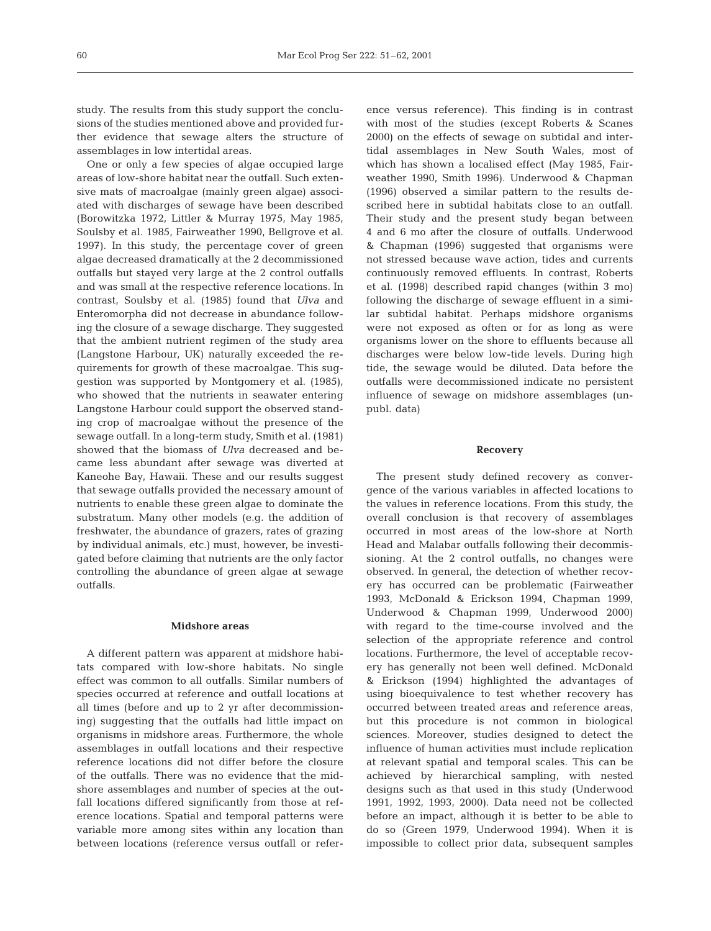study. The results from this study support the conclusions of the studies mentioned above and provided further evidence that sewage alters the structure of assemblages in low intertidal areas.

One or only a few species of algae occupied large areas of low-shore habitat near the outfall. Such extensive mats of macroalgae (mainly green algae) associated with discharges of sewage have been described (Borowitzka 1972, Littler & Murray 1975, May 1985, Soulsby et al. 1985, Fairweather 1990, Bellgrove et al. 1997). In this study, the percentage cover of green algae decreased dramatically at the 2 decommissioned outfalls but stayed very large at the 2 control outfalls and was small at the respective reference locations. In contrast, Soulsby et al. (1985) found that *Ulva* and Enteromorpha did not decrease in abundance following the closure of a sewage discharge. They suggested that the ambient nutrient regimen of the study area (Langstone Harbour, UK) naturally exceeded the requirements for growth of these macroalgae. This suggestion was supported by Montgomery et al. (1985), who showed that the nutrients in seawater entering Langstone Harbour could support the observed standing crop of macroalgae without the presence of the sewage outfall. In a long-term study, Smith et al. (1981) showed that the biomass of *Ulva* decreased and became less abundant after sewage was diverted at Kaneohe Bay, Hawaii. These and our results suggest that sewage outfalls provided the necessary amount of nutrients to enable these green algae to dominate the substratum. Many other models (e.g. the addition of freshwater, the abundance of grazers, rates of grazing by individual animals, etc.) must, however, be investigated before claiming that nutrients are the only factor controlling the abundance of green algae at sewage outfalls.

# **Midshore areas**

A different pattern was apparent at midshore habitats compared with low-shore habitats. No single effect was common to all outfalls. Similar numbers of species occurred at reference and outfall locations at all times (before and up to 2 yr after decommissioning) suggesting that the outfalls had little impact on organisms in midshore areas. Furthermore, the whole assemblages in outfall locations and their respective reference locations did not differ before the closure of the outfalls. There was no evidence that the midshore assemblages and number of species at the outfall locations differed significantly from those at reference locations. Spatial and temporal patterns were variable more among sites within any location than between locations (reference versus outfall or refer-

ence versus reference). This finding is in contrast with most of the studies (except Roberts & Scanes 2000) on the effects of sewage on subtidal and intertidal assemblages in New South Wales, most of which has shown a localised effect (May 1985, Fairweather 1990, Smith 1996). Underwood & Chapman (1996) observed a similar pattern to the results described here in subtidal habitats close to an outfall. Their study and the present study began between 4 and 6 mo after the closure of outfalls. Underwood & Chapman (1996) suggested that organisms were not stressed because wave action, tides and currents continuously removed effluents. In contrast, Roberts et al. (1998) described rapid changes (within 3 mo) following the discharge of sewage effluent in a similar subtidal habitat*.* Perhaps midshore organisms were not exposed as often or for as long as were organisms lower on the shore to effluents because all discharges were below low-tide levels. During high tide, the sewage would be diluted. Data before the outfalls were decommissioned indicate no persistent influence of sewage on midshore assemblages (unpubl. data)

# **Recovery**

The present study defined recovery as convergence of the various variables in affected locations to the values in reference locations. From this study, the overall conclusion is that recovery of assemblages occurred in most areas of the low-shore at North Head and Malabar outfalls following their decommissioning. At the 2 control outfalls, no changes were observed. In general, the detection of whether recovery has occurred can be problematic (Fairweather 1993, McDonald & Erickson 1994, Chapman 1999, Underwood & Chapman 1999, Underwood 2000) with regard to the time-course involved and the selection of the appropriate reference and control locations. Furthermore, the level of acceptable recovery has generally not been well defined. McDonald & Erickson (1994) highlighted the advantages of using bioequivalence to test whether recovery has occurred between treated areas and reference areas, but this procedure is not common in biological sciences. Moreover, studies designed to detect the influence of human activities must include replication at relevant spatial and temporal scales. This can be achieved by hierarchical sampling, with nested designs such as that used in this study (Underwood 1991, 1992, 1993, 2000). Data need not be collected before an impact, although it is better to be able to do so (Green 1979, Underwood 1994). When it is impossible to collect prior data, subsequent samples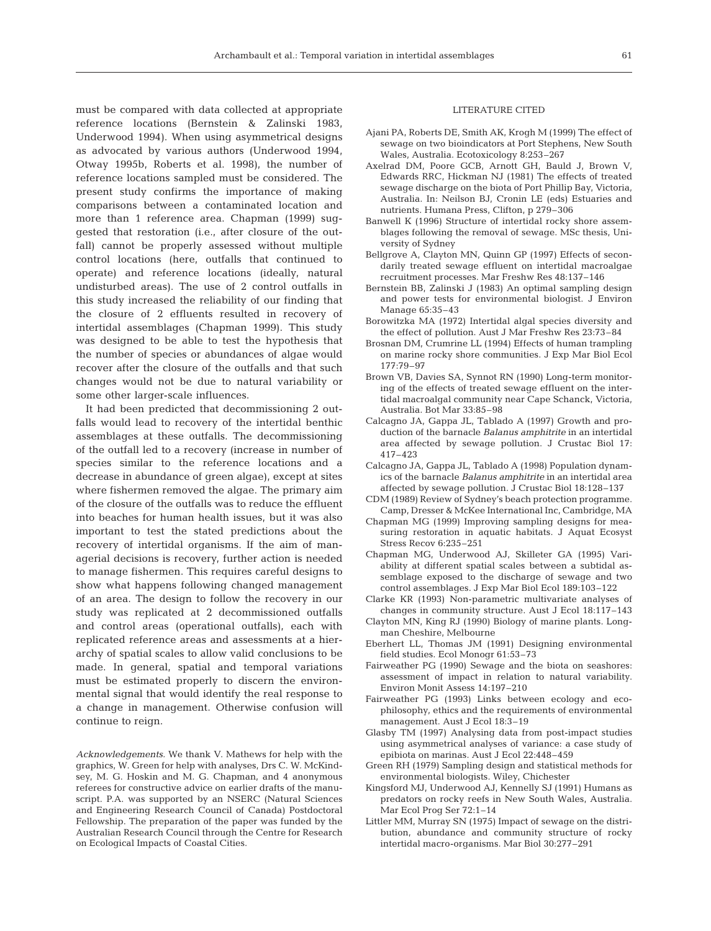must be compared with data collected at appropriate reference locations (Bernstein & Zalinski 1983, Underwood 1994). When using asymmetrical designs as advocated by various authors (Underwood 1994, Otway 1995b, Roberts et al. 1998), the number of reference locations sampled must be considered. The present study confirms the importance of making comparisons between a contaminated location and more than 1 reference area. Chapman (1999) suggested that restoration (i.e., after closure of the outfall) cannot be properly assessed without multiple control locations (here, outfalls that continued to operate) and reference locations (ideally, natural undisturbed areas). The use of 2 control outfalls in this study increased the reliability of our finding that the closure of 2 effluents resulted in recovery of intertidal assemblages (Chapman 1999). This study was designed to be able to test the hypothesis that the number of species or abundances of algae would recover after the closure of the outfalls and that such changes would not be due to natural variability or some other larger-scale influences.

It had been predicted that decommissioning 2 outfalls would lead to recovery of the intertidal benthic assemblages at these outfalls. The decommissioning of the outfall led to a recovery (increase in number of species similar to the reference locations and a decrease in abundance of green algae), except at sites where fishermen removed the algae. The primary aim of the closure of the outfalls was to reduce the effluent into beaches for human health issues, but it was also important to test the stated predictions about the recovery of intertidal organisms. If the aim of managerial decisions is recovery, further action is needed to manage fishermen. This requires careful designs to show what happens following changed management of an area. The design to follow the recovery in our study was replicated at 2 decommissioned outfalls and control areas (operational outfalls), each with replicated reference areas and assessments at a hierarchy of spatial scales to allow valid conclusions to be made. In general, spatial and temporal variations must be estimated properly to discern the environmental signal that would identify the real response to a change in management. Otherwise confusion will continue to reign.

*Acknowledgements.* We thank V. Mathews for help with the graphics, W. Green for help with analyses, Drs C. W. McKindsey, M. G. Hoskin and M. G. Chapman, and 4 anonymous referees for constructive advice on earlier drafts of the manuscript. P.A. was supported by an NSERC (Natural Sciences and Engineering Research Council of Canada) Postdoctoral Fellowship. The preparation of the paper was funded by the Australian Research Council through the Centre for Research on Ecological Impacts of Coastal Cities.

#### LITERATURE CITED

- Ajani PA, Roberts DE, Smith AK, Krogh M (1999) The effect of sewage on two bioindicators at Port Stephens, New South Wales, Australia. Ecotoxicology 8:253–267
- Axelrad DM, Poore GCB, Arnott GH, Bauld J, Brown V, Edwards RRC, Hickman NJ (1981) The effects of treated sewage discharge on the biota of Port Phillip Bay, Victoria, Australia. In: Neilson BJ, Cronin LE (eds) Estuaries and nutrients. Humana Press, Clifton, p 279–306
- Banwell K (1996) Structure of intertidal rocky shore assemblages following the removal of sewage. MSc thesis, University of Sydney
- Bellgrove A, Clayton MN, Quinn GP (1997) Effects of secondarily treated sewage effluent on intertidal macroalgae recruitment processes. Mar Freshw Res 48:137–146
- Bernstein BB, Zalinski J (1983) An optimal sampling design and power tests for environmental biologist. J Environ Manage 65:35–43
- Borowitzka MA (1972) Intertidal algal species diversity and the effect of pollution. Aust J Mar Freshw Res 23:73–84
- Brosnan DM, Crumrine LL (1994) Effects of human trampling on marine rocky shore communities. J Exp Mar Biol Ecol 177:79–97
- Brown VB, Davies SA, Synnot RN (1990) Long-term monitoring of the effects of treated sewage effluent on the intertidal macroalgal community near Cape Schanck, Victoria, Australia. Bot Mar 33:85–98
- Calcagno JA, Gappa JL, Tablado A (1997) Growth and production of the barnacle *Balanus amphitrite* in an intertidal area affected by sewage pollution. J Crustac Biol 17: 417–423
- Calcagno JA, Gappa JL, Tablado A (1998) Population dynamics of the barnacle *Balanus amphitrite* in an intertidal area affected by sewage pollution. J Crustac Biol 18:128–137
- CDM (1989) Review of Sydney's beach protection programme. Camp, Dresser & McKee International Inc, Cambridge, MA
- Chapman MG (1999) Improving sampling designs for measuring restoration in aquatic habitats. J Aquat Ecosyst Stress Recov 6:235–251
- Chapman MG, Underwood AJ, Skilleter GA (1995) Variability at different spatial scales between a subtidal assemblage exposed to the discharge of sewage and two control assemblages. J Exp Mar Biol Ecol 189:103–122
- Clarke KR (1993) Non-parametric multivariate analyses of changes in community structure. Aust J Ecol 18:117–143
- Clayton MN, King RJ (1990) Biology of marine plants. Longman Cheshire, Melbourne
- Eberhert LL, Thomas JM (1991) Designing environmental field studies. Ecol Monogr 61:53–73
- Fairweather PG (1990) Sewage and the biota on seashores: assessment of impact in relation to natural variability. Environ Monit Assess 14:197–210
- Fairweather PG (1993) Links between ecology and ecophilosophy, ethics and the requirements of environmental management. Aust J Ecol 18:3–19
- Glasby TM (1997) Analysing data from post-impact studies using asymmetrical analyses of variance: a case study of epibiota on marinas. Aust J Ecol 22:448–459
- Green RH (1979) Sampling design and statistical methods for environmental biologists. Wiley, Chichester
- Kingsford MJ, Underwood AJ, Kennelly SJ (1991) Humans as predators on rocky reefs in New South Wales, Australia. Mar Ecol Prog Ser 72:1–14
- Littler MM, Murray SN (1975) Impact of sewage on the distribution, abundance and community structure of rocky intertidal macro-organisms. Mar Biol 30:277–291